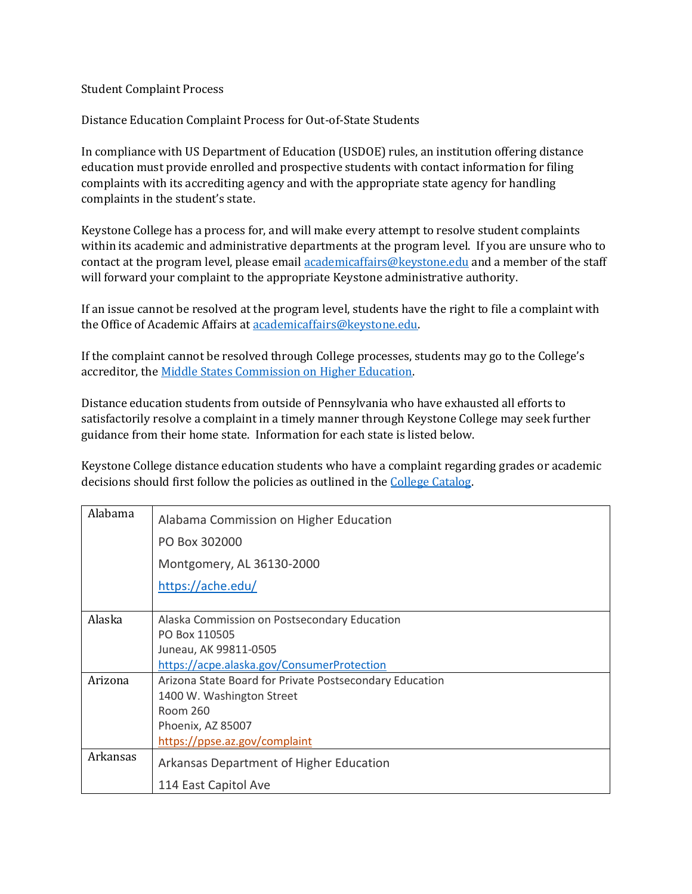## Student Complaint Process

Distance Education Complaint Process for Out-of-State Students

In compliance with US Department of Education (USDOE) rules, an institution offering distance education must provide enrolled and prospective students with contact information for filing complaints with its accrediting agency and with the appropriate state agency for handling complaints in the student's state.

Keystone College has a process for, and will make every attempt to resolve student complaints within its academic and administrative departments at the program level. If you are unsure who to contact at the program level, please email [academicaffairs@keystone.edu](mailto:academicaffairs@keystone.edu) and a member of the staff will forward your complaint to the appropriate Keystone administrative authority.

If an issue cannot be resolved at the program level, students have the right to file a complaint with the Office of Academic Affairs at [academicaffairs@keystone.edu.](mailto:academicaffairs@keystone.edu)

If the complaint cannot be resolved through College processes, students may go to the College's accreditor, th[e Middle States Commission on Higher Education.](https://www.msche.org/)

Distance education students from outside of Pennsylvania who have exhausted all efforts to satisfactorily resolve a complaint in a timely manner through Keystone College may seek further guidance from their home state. Information for each state is listed below.

Keystone College distance education students who have a complaint regarding grades or academic decisions should first follow the policies as outlined in th[e College Catalog.](https://www.keystone.edu/registrar/catalog/)

| Alabama  | Alabama Commission on Higher Education                  |
|----------|---------------------------------------------------------|
|          | PO Box 302000                                           |
|          | Montgomery, AL 36130-2000                               |
|          | https://ache.edu/                                       |
|          |                                                         |
| Alaska   | Alaska Commission on Postsecondary Education            |
|          | PO Box 110505                                           |
|          | Juneau, AK 99811-0505                                   |
|          | https://acpe.alaska.gov/ConsumerProtection              |
| Arizona  | Arizona State Board for Private Postsecondary Education |
|          | 1400 W. Washington Street                               |
|          | Room 260                                                |
|          | Phoenix, AZ 85007                                       |
|          | https://ppse.az.gov/complaint                           |
| Arkansas | Arkansas Department of Higher Education                 |
|          | 114 East Capitol Ave                                    |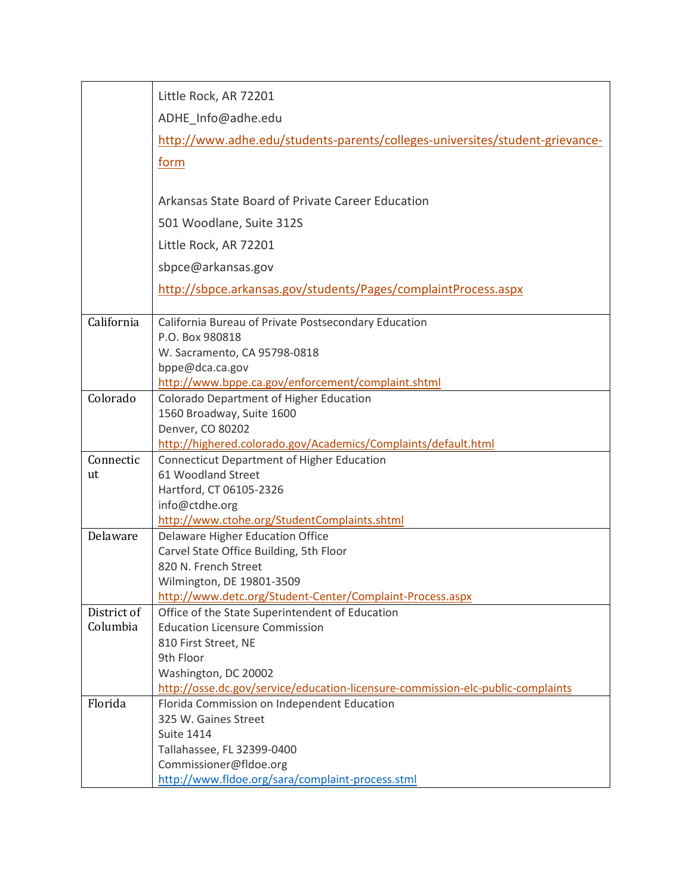|             | Little Rock, AR 72201                                                                                   |
|-------------|---------------------------------------------------------------------------------------------------------|
|             | ADHE Info@adhe.edu                                                                                      |
|             | http://www.adhe.edu/students-parents/colleges-universites/student-grievance-                            |
|             |                                                                                                         |
|             | form                                                                                                    |
|             | Arkansas State Board of Private Career Education                                                        |
|             | 501 Woodlane, Suite 312S                                                                                |
|             | Little Rock, AR 72201                                                                                   |
|             |                                                                                                         |
|             | sbpce@arkansas.gov                                                                                      |
|             | http://sbpce.arkansas.gov/students/Pages/complaintProcess.aspx                                          |
| California  | California Bureau of Private Postsecondary Education                                                    |
|             | P.O. Box 980818                                                                                         |
|             | W. Sacramento, CA 95798-0818                                                                            |
|             | bppe@dca.ca.gov                                                                                         |
| Colorado    | http://www.bppe.ca.gov/enforcement/complaint.shtml<br>Colorado Department of Higher Education           |
|             | 1560 Broadway, Suite 1600                                                                               |
|             | Denver, CO 80202                                                                                        |
|             | http://highered.colorado.gov/Academics/Complaints/default.html                                          |
| Connectic   | <b>Connecticut Department of Higher Education</b>                                                       |
| ut          | 61 Woodland Street                                                                                      |
|             | Hartford, CT 06105-2326                                                                                 |
|             | info@ctdhe.org                                                                                          |
| Delaware    | http://www.ctohe.org/StudentComplaints.shtml<br><b>Delaware Higher Education Office</b>                 |
|             | Carvel State Office Building, 5th Floor                                                                 |
|             | 820 N. French Street                                                                                    |
|             | Wilmington, DE 19801-3509                                                                               |
|             | http://www.detc.org/Student-Center/Complaint-Process.aspx                                               |
| District of | Office of the State Superintendent of Education                                                         |
| Columbia    | <b>Education Licensure Commission</b>                                                                   |
|             | 810 First Street, NE                                                                                    |
|             | 9th Floor                                                                                               |
|             | Washington, DC 20002<br>http://osse.dc.gov/service/education-licensure-commission-elc-public-complaints |
| Florida     | Florida Commission on Independent Education                                                             |
|             | 325 W. Gaines Street                                                                                    |
|             | <b>Suite 1414</b>                                                                                       |
|             | Tallahassee, FL 32399-0400                                                                              |
|             | Commissioner@fldoe.org                                                                                  |
|             | http://www.fldoe.org/sara/complaint-process.stml                                                        |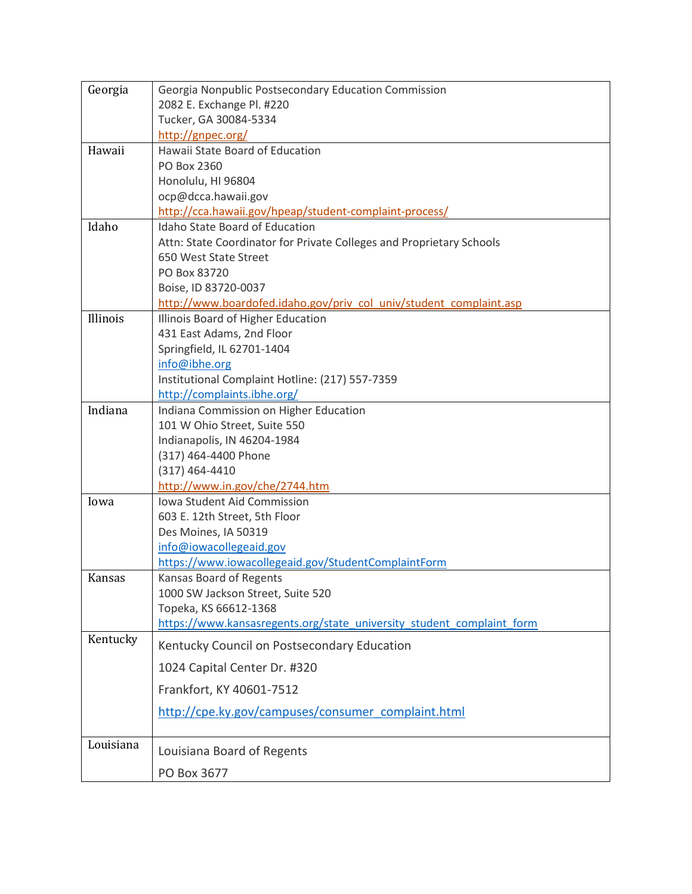| Georgia   | Georgia Nonpublic Postsecondary Education Commission                                            |
|-----------|-------------------------------------------------------------------------------------------------|
|           | 2082 E. Exchange Pl. #220                                                                       |
|           | Tucker, GA 30084-5334                                                                           |
|           | http://gnpec.org/                                                                               |
| Hawaii    | Hawaii State Board of Education                                                                 |
|           | PO Box 2360                                                                                     |
|           | Honolulu, HI 96804                                                                              |
|           | ocp@dcca.hawaii.gov                                                                             |
| Idaho     | http://cca.hawaii.gov/hpeap/student-complaint-process/<br><b>Idaho State Board of Education</b> |
|           | Attn: State Coordinator for Private Colleges and Proprietary Schools                            |
|           | 650 West State Street                                                                           |
|           | PO Box 83720                                                                                    |
|           | Boise, ID 83720-0037                                                                            |
|           | http://www.boardofed.idaho.gov/priv_col_univ/student_complaint.asp                              |
| Illinois  | Illinois Board of Higher Education                                                              |
|           | 431 East Adams, 2nd Floor                                                                       |
|           | Springfield, IL 62701-1404                                                                      |
|           | info@ibhe.org                                                                                   |
|           | Institutional Complaint Hotline: (217) 557-7359                                                 |
|           | http://complaints.ibhe.org/                                                                     |
| Indiana   | Indiana Commission on Higher Education                                                          |
|           | 101 W Ohio Street, Suite 550                                                                    |
|           | Indianapolis, IN 46204-1984                                                                     |
|           | (317) 464-4400 Phone                                                                            |
|           | $(317)$ 464-4410                                                                                |
| Iowa      | http://www.in.gov/che/2744.htm<br>Iowa Student Aid Commission                                   |
|           | 603 E. 12th Street, 5th Floor                                                                   |
|           | Des Moines, IA 50319                                                                            |
|           | info@iowacollegeaid.gov                                                                         |
|           | https://www.iowacollegeaid.gov/StudentComplaintForm                                             |
| Kansas    | Kansas Board of Regents                                                                         |
|           | 1000 SW Jackson Street, Suite 520                                                               |
|           | Topeka, KS 66612-1368                                                                           |
|           | https://www.kansasregents.org/state university student complaint form                           |
| Kentucky  | Kentucky Council on Postsecondary Education                                                     |
|           | 1024 Capital Center Dr. #320                                                                    |
|           | Frankfort, KY 40601-7512                                                                        |
|           | http://cpe.ky.gov/campuses/consumer_complaint.html                                              |
| Louisiana | Louisiana Board of Regents                                                                      |
|           | PO Box 3677                                                                                     |
|           |                                                                                                 |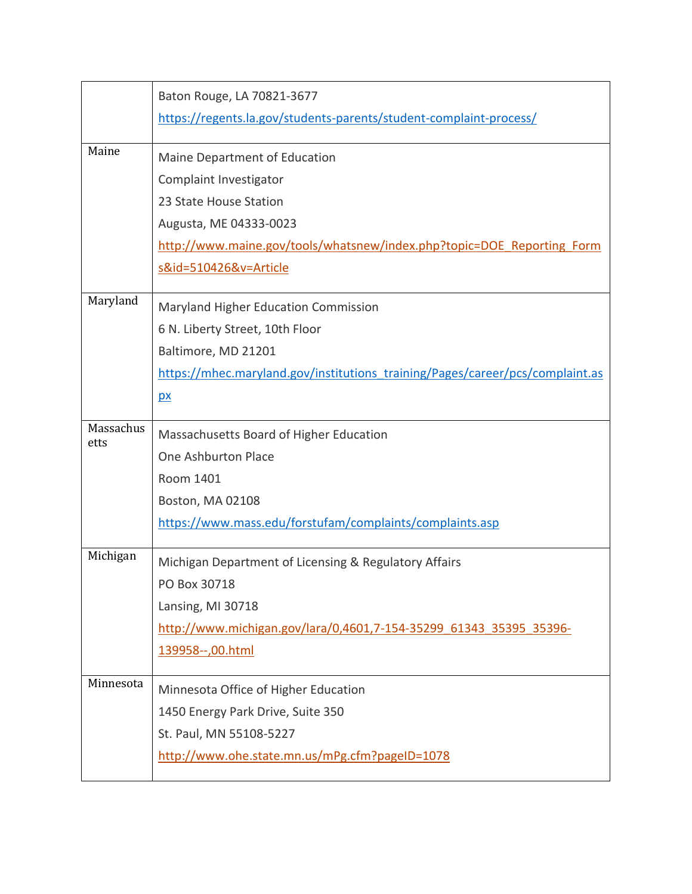|                   | Baton Rouge, LA 70821-3677                                                    |
|-------------------|-------------------------------------------------------------------------------|
|                   | https://regents.la.gov/students-parents/student-complaint-process/            |
| Maine             |                                                                               |
|                   | Maine Department of Education                                                 |
|                   | Complaint Investigator                                                        |
|                   | 23 State House Station                                                        |
|                   | Augusta, ME 04333-0023                                                        |
|                   | http://www.maine.gov/tools/whatsnew/index.php?topic=DOE Reporting Form        |
|                   | s&id=510426&v=Article                                                         |
| Maryland          | Maryland Higher Education Commission                                          |
|                   | 6 N. Liberty Street, 10th Floor                                               |
|                   | Baltimore, MD 21201                                                           |
|                   | https://mhec.maryland.gov/institutions_training/Pages/career/pcs/complaint.as |
|                   | $\mathbf{p}$                                                                  |
| Massachus<br>etts | Massachusetts Board of Higher Education                                       |
|                   | One Ashburton Place                                                           |
|                   | Room 1401                                                                     |
|                   | Boston, MA 02108                                                              |
|                   | https://www.mass.edu/forstufam/complaints/complaints.asp                      |
| Michigan          | Michigan Department of Licensing & Regulatory Affairs                         |
|                   | PO Box 30718                                                                  |
|                   | Lansing, MI 30718                                                             |
|                   | http://www.michigan.gov/lara/0,4601,7-154-35299 61343 35395 35396-            |
|                   | 139958 -- ,00.html                                                            |
|                   |                                                                               |
| Minnesota         | Minnesota Office of Higher Education                                          |
|                   | 1450 Energy Park Drive, Suite 350                                             |
|                   | St. Paul, MN 55108-5227                                                       |
|                   | http://www.ohe.state.mn.us/mPg.cfm?pageID=1078                                |
|                   |                                                                               |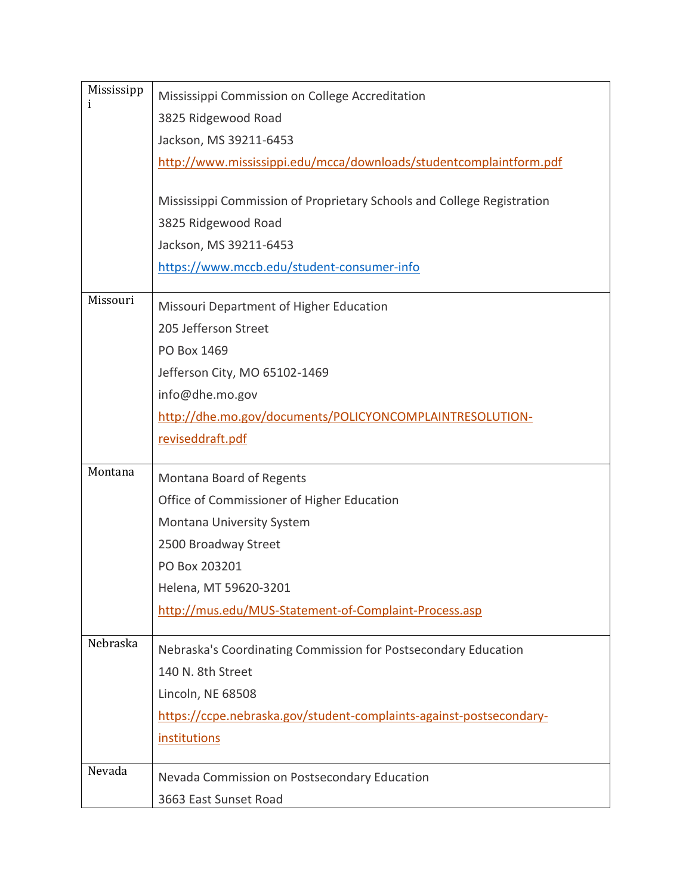| Mississipp   | Mississippi Commission on College Accreditation                        |
|--------------|------------------------------------------------------------------------|
| <sup>1</sup> | 3825 Ridgewood Road                                                    |
|              | Jackson, MS 39211-6453                                                 |
|              | http://www.mississippi.edu/mcca/downloads/studentcomplaintform.pdf     |
|              |                                                                        |
|              | Mississippi Commission of Proprietary Schools and College Registration |
|              | 3825 Ridgewood Road                                                    |
|              | Jackson, MS 39211-6453                                                 |
|              | https://www.mccb.edu/student-consumer-info                             |
| Missouri     | Missouri Department of Higher Education                                |
|              | 205 Jefferson Street                                                   |
|              | PO Box 1469                                                            |
|              | Jefferson City, MO 65102-1469                                          |
|              | info@dhe.mo.gov                                                        |
|              | http://dhe.mo.gov/documents/POLICYONCOMPLAINTRESOLUTION-               |
|              | reviseddraft.pdf                                                       |
| Montana      |                                                                        |
|              | Montana Board of Regents                                               |
|              | Office of Commissioner of Higher Education                             |
|              | Montana University System                                              |
|              | 2500 Broadway Street                                                   |
|              | PO Box 203201                                                          |
|              | Helena, MT 59620-3201                                                  |
|              | http://mus.edu/MUS-Statement-of-Complaint-Process.asp                  |
| Nebraska     | Nebraska's Coordinating Commission for Postsecondary Education         |
|              | 140 N. 8th Street                                                      |
|              | Lincoln, NE 68508                                                      |
|              | https://ccpe.nebraska.gov/student-complaints-against-postsecondary-    |
|              | <i>institutions</i>                                                    |
| Nevada       |                                                                        |
|              | Nevada Commission on Postsecondary Education                           |
|              | 3663 East Sunset Road                                                  |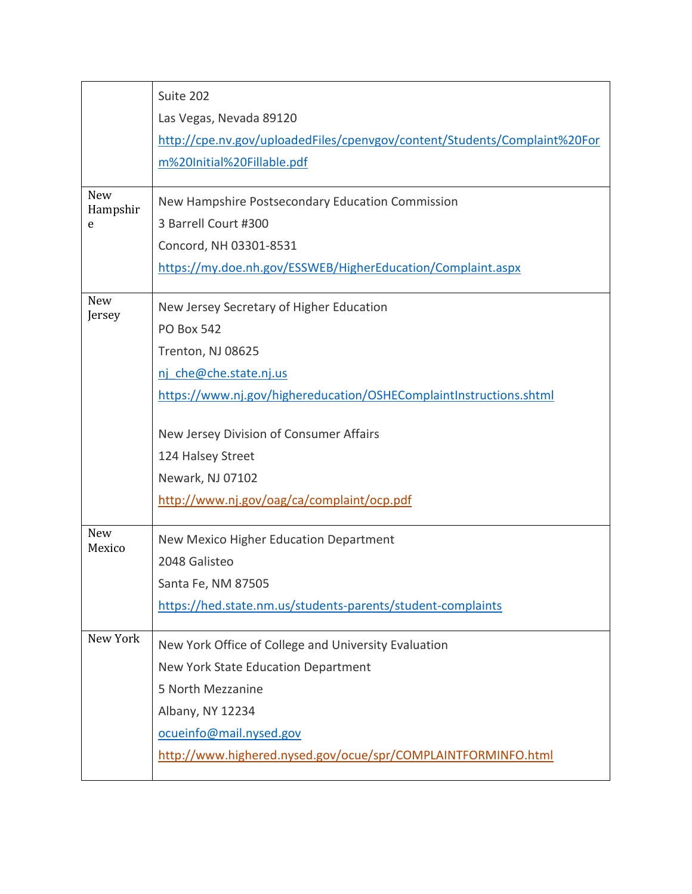|                             | Suite 202<br>Las Vegas, Nevada 89120                                                                                                                                                                                                                                                                                 |
|-----------------------------|----------------------------------------------------------------------------------------------------------------------------------------------------------------------------------------------------------------------------------------------------------------------------------------------------------------------|
|                             | http://cpe.nv.gov/uploadedFiles/cpenvgov/content/Students/Complaint%20For<br>m%20Initial%20Fillable.pdf                                                                                                                                                                                                              |
| <b>New</b><br>Hampshir<br>e | New Hampshire Postsecondary Education Commission<br>3 Barrell Court #300<br>Concord, NH 03301-8531<br>https://my.doe.nh.gov/ESSWEB/HigherEducation/Complaint.aspx                                                                                                                                                    |
| <b>New</b><br>Jersey        | New Jersey Secretary of Higher Education<br><b>PO Box 542</b><br>Trenton, NJ 08625<br>nj che@che.state.nj.us<br>https://www.nj.gov/highereducation/OSHEComplaintInstructions.shtml<br>New Jersey Division of Consumer Affairs<br>124 Halsey Street<br>Newark, NJ 07102<br>http://www.nj.gov/oag/ca/complaint/ocp.pdf |
| <b>New</b><br>Mexico        | New Mexico Higher Education Department<br>2048 Galisteo<br>Santa Fe, NM 87505<br>https://hed.state.nm.us/students-parents/student-complaints                                                                                                                                                                         |
| New York                    | New York Office of College and University Evaluation<br>New York State Education Department<br>5 North Mezzanine<br>Albany, NY 12234<br>ocueinfo@mail.nysed.gov<br>http://www.highered.nysed.gov/ocue/spr/COMPLAINTFORMINFO.html                                                                                     |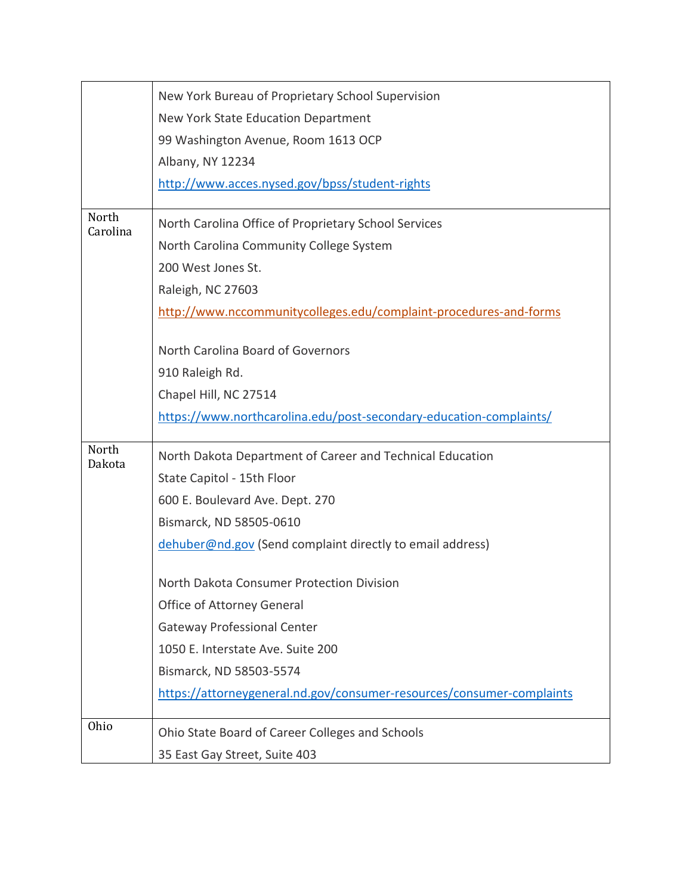|                   | New York Bureau of Proprietary School Supervision                     |
|-------------------|-----------------------------------------------------------------------|
|                   | New York State Education Department                                   |
|                   | 99 Washington Avenue, Room 1613 OCP                                   |
|                   | Albany, NY 12234                                                      |
|                   | http://www.acces.nysed.gov/bpss/student-rights                        |
| North<br>Carolina | North Carolina Office of Proprietary School Services                  |
|                   | North Carolina Community College System                               |
|                   | 200 West Jones St.                                                    |
|                   | Raleigh, NC 27603                                                     |
|                   | http://www.nccommunitycolleges.edu/complaint-procedures-and-forms     |
|                   | North Carolina Board of Governors                                     |
|                   | 910 Raleigh Rd.                                                       |
|                   | Chapel Hill, NC 27514                                                 |
|                   | https://www.northcarolina.edu/post-secondary-education-complaints/    |
| North             | North Dakota Department of Career and Technical Education             |
| Dakota            | State Capitol - 15th Floor                                            |
|                   | 600 E. Boulevard Ave. Dept. 270                                       |
|                   | Bismarck, ND 58505-0610                                               |
|                   | dehuber@nd.gov (Send complaint directly to email address)             |
|                   | North Dakota Consumer Protection Division                             |
|                   | Office of Attorney General                                            |
|                   | <b>Gateway Professional Center</b>                                    |
|                   | 1050 E. Interstate Ave. Suite 200                                     |
|                   | Bismarck, ND 58503-5574                                               |
|                   | https://attorneygeneral.nd.gov/consumer-resources/consumer-complaints |
| Ohio              | Ohio State Board of Career Colleges and Schools                       |
|                   | 35 East Gay Street, Suite 403                                         |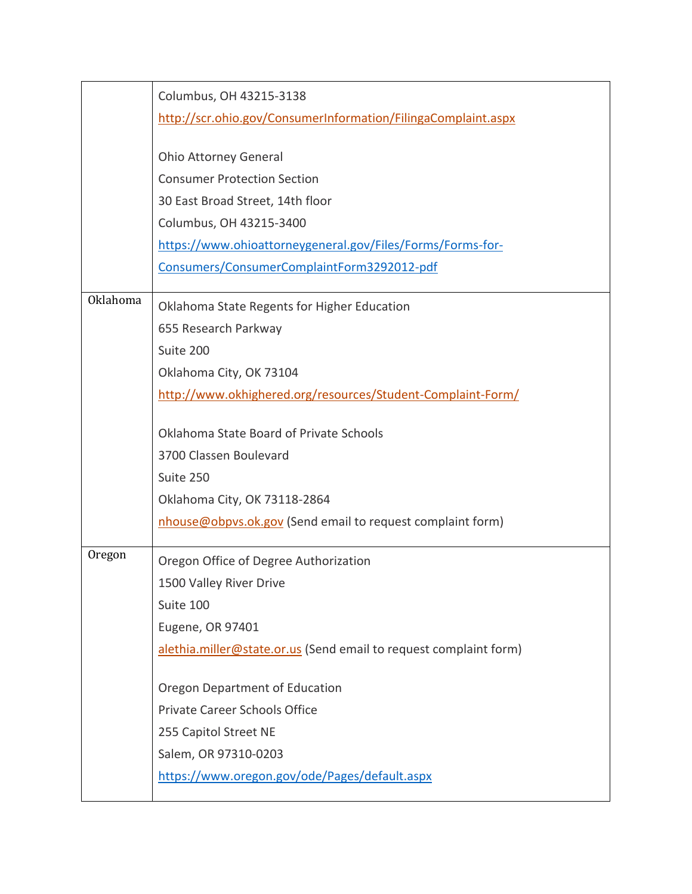|                 | Columbus, OH 43215-3138<br>http://scr.ohio.gov/ConsumerInformation/FilingaComplaint.aspx<br><b>Ohio Attorney General</b><br><b>Consumer Protection Section</b><br>30 East Broad Street, 14th floor<br>Columbus, OH 43215-3400<br>https://www.ohioattorneygeneral.gov/Files/Forms/Forms-for-<br>Consumers/ConsumerComplaintForm3292012-pdf                  |
|-----------------|------------------------------------------------------------------------------------------------------------------------------------------------------------------------------------------------------------------------------------------------------------------------------------------------------------------------------------------------------------|
| <b>Oklahoma</b> | Oklahoma State Regents for Higher Education<br>655 Research Parkway<br>Suite 200<br>Oklahoma City, OK 73104<br>http://www.okhighered.org/resources/Student-Complaint-Form/<br>Oklahoma State Board of Private Schools<br>3700 Classen Boulevard<br>Suite 250<br>Oklahoma City, OK 73118-2864<br>nhouse@obpvs.ok.gov (Send email to request complaint form) |
| Oregon          | Oregon Office of Degree Authorization<br>1500 Valley River Drive<br>Suite 100<br>Eugene, OR 97401<br>alethia.miller@state.or.us (Send email to request complaint form)<br>Oregon Department of Education<br>Private Career Schools Office<br>255 Capitol Street NE<br>Salem, OR 97310-0203<br>https://www.oregon.gov/ode/Pages/default.aspx                |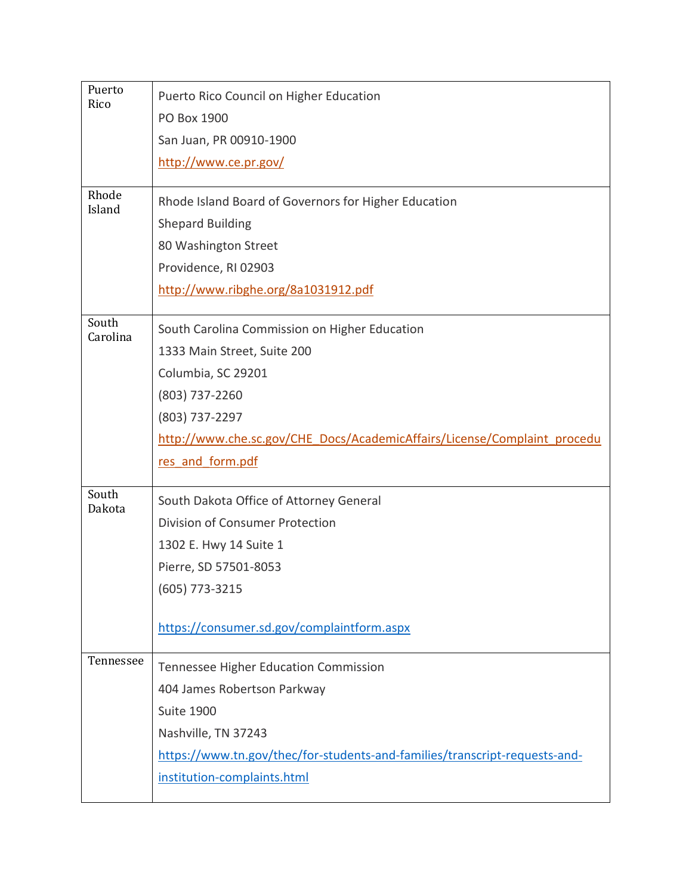| Puerto<br>Rico  | Puerto Rico Council on Higher Education                                    |
|-----------------|----------------------------------------------------------------------------|
|                 | PO Box 1900                                                                |
|                 | San Juan, PR 00910-1900                                                    |
|                 | http://www.ce.pr.gov/                                                      |
| Rhode           |                                                                            |
| Island          | Rhode Island Board of Governors for Higher Education                       |
|                 | <b>Shepard Building</b>                                                    |
|                 | 80 Washington Street                                                       |
|                 | Providence, RI 02903                                                       |
|                 | http://www.ribghe.org/8a1031912.pdf                                        |
| South           | South Carolina Commission on Higher Education                              |
| Carolina        | 1333 Main Street, Suite 200                                                |
|                 | Columbia, SC 29201                                                         |
|                 | (803) 737-2260                                                             |
|                 | (803) 737-2297                                                             |
|                 | http://www.che.sc.gov/CHE_Docs/AcademicAffairs/License/Complaint_procedu   |
|                 | res and form.pdf                                                           |
|                 |                                                                            |
| South<br>Dakota | South Dakota Office of Attorney General                                    |
|                 | <b>Division of Consumer Protection</b>                                     |
|                 | 1302 E. Hwy 14 Suite 1                                                     |
|                 | Pierre, SD 57501-8053                                                      |
|                 | $(605)$ 773-3215                                                           |
|                 |                                                                            |
|                 | https://consumer.sd.gov/complaintform.aspx                                 |
| Tennessee       | <b>Tennessee Higher Education Commission</b>                               |
|                 | 404 James Robertson Parkway                                                |
|                 | <b>Suite 1900</b>                                                          |
|                 | Nashville, TN 37243                                                        |
|                 | https://www.tn.gov/thec/for-students-and-families/transcript-requests-and- |
|                 | institution-complaints.html                                                |
|                 |                                                                            |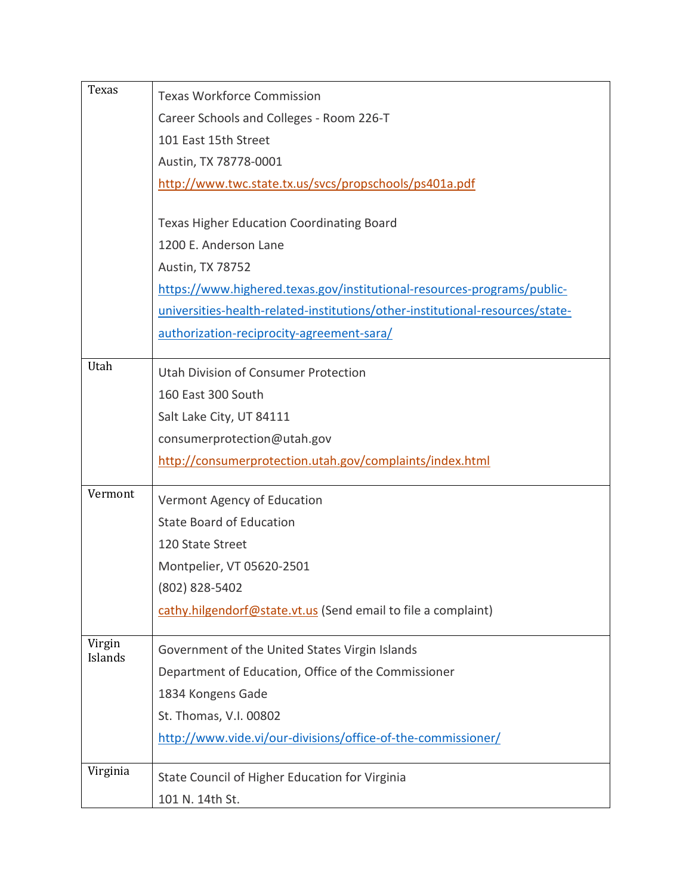| Texas    | <b>Texas Workforce Commission</b>                                             |
|----------|-------------------------------------------------------------------------------|
|          | Career Schools and Colleges - Room 226-T                                      |
|          | 101 East 15th Street                                                          |
|          | Austin, TX 78778-0001                                                         |
|          | http://www.twc.state.tx.us/svcs/propschools/ps401a.pdf                        |
|          |                                                                               |
|          | <b>Texas Higher Education Coordinating Board</b>                              |
|          | 1200 E. Anderson Lane                                                         |
|          | Austin, TX 78752                                                              |
|          | https://www.highered.texas.gov/institutional-resources-programs/public-       |
|          | universities-health-related-institutions/other-institutional-resources/state- |
|          | authorization-reciprocity-agreement-sara/                                     |
| Utah     | Utah Division of Consumer Protection                                          |
|          | 160 East 300 South                                                            |
|          | Salt Lake City, UT 84111                                                      |
|          | consumerprotection@utah.gov                                                   |
|          | http://consumerprotection.utah.gov/complaints/index.html                      |
|          |                                                                               |
| Vermont  | Vermont Agency of Education                                                   |
|          | <b>State Board of Education</b>                                               |
|          | 120 State Street                                                              |
|          | Montpelier, VT 05620-2501                                                     |
|          | (802) 828-5402                                                                |
|          | cathy.hilgendorf@state.vt.us (Send email to file a complaint)                 |
| Virgin   | Government of the United States Virgin Islands                                |
| Islands  | Department of Education, Office of the Commissioner                           |
|          | 1834 Kongens Gade                                                             |
|          | St. Thomas, V.I. 00802                                                        |
|          | http://www.vide.vi/our-divisions/office-of-the-commissioner/                  |
|          |                                                                               |
| Virginia | State Council of Higher Education for Virginia                                |
|          | 101 N. 14th St.                                                               |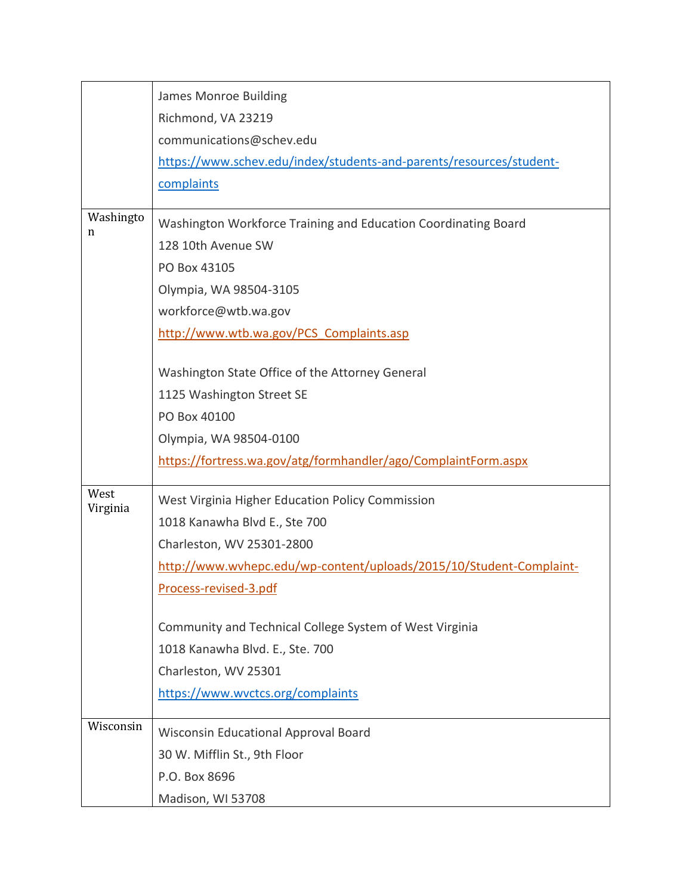|                  | James Monroe Building                                               |
|------------------|---------------------------------------------------------------------|
|                  | Richmond, VA 23219                                                  |
|                  | communications@schev.edu                                            |
|                  | https://www.schev.edu/index/students-and-parents/resources/student- |
|                  | complaints                                                          |
| Washingto<br>n   | Washington Workforce Training and Education Coordinating Board      |
|                  | 128 10th Avenue SW                                                  |
|                  | PO Box 43105                                                        |
|                  | Olympia, WA 98504-3105                                              |
|                  | workforce@wtb.wa.gov                                                |
|                  | http://www.wtb.wa.gov/PCS Complaints.asp                            |
|                  | Washington State Office of the Attorney General                     |
|                  | 1125 Washington Street SE                                           |
|                  | PO Box 40100                                                        |
|                  | Olympia, WA 98504-0100                                              |
|                  | https://fortress.wa.gov/atg/formhandler/ago/ComplaintForm.aspx      |
| West<br>Virginia | West Virginia Higher Education Policy Commission                    |
|                  | 1018 Kanawha Blvd E., Ste 700                                       |
|                  | Charleston, WV 25301-2800                                           |
|                  | http://www.wvhepc.edu/wp-content/uploads/2015/10/Student-Complaint- |
|                  | Process-revised-3.pdf                                               |
|                  | Community and Technical College System of West Virginia             |
|                  | 1018 Kanawha Blvd. E., Ste. 700                                     |
|                  | Charleston, WV 25301                                                |
|                  | https://www.wvctcs.org/complaints                                   |
| Wisconsin        | <b>Wisconsin Educational Approval Board</b>                         |
|                  | 30 W. Mifflin St., 9th Floor                                        |
|                  | P.O. Box 8696                                                       |
|                  | Madison, WI 53708                                                   |